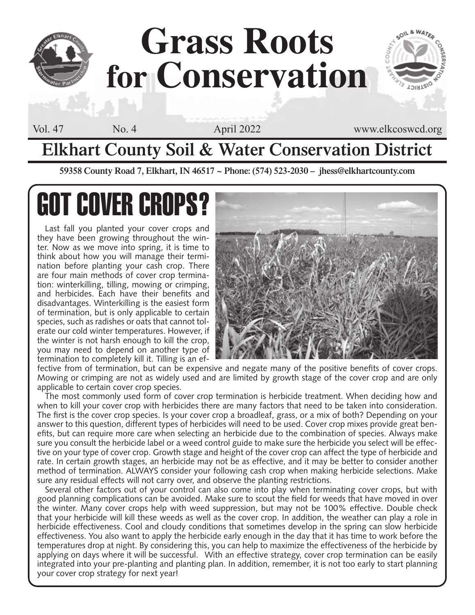

**Elkhart County Soil & Water Conservation District**

**59358 County Road 7, Elkhart, IN 46517 ~ Phone: (574) 523-2030 – jhess@elkhartcounty.com**

# **GOT COVER CROPS**

Last fall you planted your cover crops and they have been growing throughout the winter. Now as we move into spring, it is time to think about how you will manage their termination before planting your cash crop. There are four main methods of cover crop termination: winterkilling, tilling, mowing or crimping, and herbicides. Each have their benefits and disadvantages. Winterkilling is the easiest form of termination, but is only applicable to certain species, such as radishes or oats that cannot tolerate our cold winter temperatures. However, if the winter is not harsh enough to kill the crop, you may need to depend on another type of termination to completely kill it. Tilling is an ef-



fective from of termination, but can be expensive and negate many of the positive benefits of cover crops. Mowing or crimping are not as widely used and are limited by growth stage of the cover crop and are only applicable to certain cover crop species.

The most commonly used form of cover crop termination is herbicide treatment. When deciding how and when to kill your cover crop with herbicides there are many factors that need to be taken into consideration. The first is the cover crop species. Is your cover crop a broadleaf, grass, or a mix of both? Depending on your answer to this question, different types of herbicides will need to be used. Cover crop mixes provide great benefits, but can require more care when selecting an herbicide due to the combination of species. Always make sure you consult the herbicide label or a weed control guide to make sure the herbicide you select will be effective on your type of cover crop. Growth stage and height of the cover crop can affect the type of herbicide and rate. In certain growth stages, an herbicide may not be as effective, and it may be better to consider another method of termination. ALWAYS consider your following cash crop when making herbicide selections. Make sure any residual effects will not carry over, and observe the planting restrictions.

Several other factors out of your control can also come into play when terminating cover crops, but with good planning complications can be avoided. Make sure to scout the field for weeds that have moved in over the winter. Many cover crops help with weed suppression, but may not be 100% effective. Double check that your herbicide will kill these weeds as well as the cover crop. In addition, the weather can play a role in herbicide effectiveness. Cool and cloudy conditions that sometimes develop in the spring can slow herbicide effectiveness. You also want to apply the herbicide early enough in the day that it has time to work before the temperatures drop at night. By considering this, you can help to maximize the effectiveness of the herbicide by applying on days where it will be successful. With an effective strategy, cover crop termination can be easily integrated into your pre-planting and planting plan. In addition, remember, it is not too early to start planning your cover crop strategy for next year!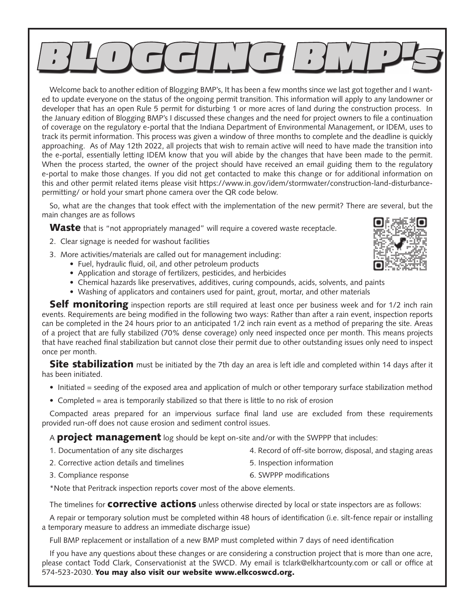

Welcome back to another edition of Blogging BMP's, It has been a few months since we last got together and I wanted to update everyone on the status of the ongoing permit transition. This information will apply to any landowner or developer that has an open Rule 5 permit for disturbing 1 or more acres of land during the construction process. In the January edition of Blogging BMP's I discussed these changes and the need for project owners to file a continuation of coverage on the regulatory e-portal that the Indiana Department of Environmental Management, or IDEM, uses to track its permit information. This process was given a window of three months to complete and the deadline is quickly approaching. As of May 12th 2022, all projects that wish to remain active will need to have made the transition into the e-portal, essentially letting IDEM know that you will abide by the changes that have been made to the permit. When the process started, the owner of the project should have received an email guiding them to the regulatory e-portal to make those changes. If you did not get contacted to make this change or for additional information on this and other permit related items please visit https://www.in.gov/idem/stormwater/construction-land-disturbancepermitting/ or hold your smart phone camera over the QR code below.

So, what are the changes that took effect with the implementation of the new permit? There are several, but the main changes are as follows

**Waste** that is "not appropriately managed" will require a covered waste receptacle.

- 2. Clear signage is needed for washout facilities
- 3. More activities/materials are called out for management including:
	- Fuel, hydraulic fluid, oil, and other petroleum products
	- Application and storage of fertilizers, pesticides, and herbicides
	- Chemical hazards like preservatives, additives, curing compounds, acids, solvents, and paints
	- Washing of applicators and containers used for paint, grout, mortar, and other materials

**Self monitoring** inspection reports are still required at least once per business week and for 1/2 inch rain events. Requirements are being modified in the following two ways: Rather than after a rain event, inspection reports can be completed in the 24 hours prior to an anticipated 1/2 inch rain event as a method of preparing the site. Areas of a project that are fully stabilized (70% dense coverage) only need inspected once per month. This means projects that have reached final stabilization but cannot close their permit due to other outstanding issues only need to inspect once per month.

Site stabilization must be initiated by the 7th day an area is left idle and completed within 14 days after it has been initiated.

- Initiated = seeding of the exposed area and application of mulch or other temporary surface stabilization method
- Completed = area is temporarily stabilized so that there is little to no risk of erosion

Compacted areas prepared for an impervious surface final land use are excluded from these requirements provided run-off does not cause erosion and sediment control issues.

A **project management** log should be kept on-site and/or with the SWPPP that includes:

- 1. Documentation of any site discharges 4. Record of off-site borrow, disposal, and staging areas
	- 5. Inspection information
- 2. Corrective action details and timelines

3. Compliance response

6. SWPPP modifications

\*Note that Peritrack inspection reports cover most of the above elements.

The timelines for **COITECTIVE actions** unless otherwise directed by local or state inspectors are as follows:

A repair or temporary solution must be completed within 48 hours of identification (i.e. silt-fence repair or installing a temporary measure to address an immediate discharge issue)

Full BMP replacement or installation of a new BMP must completed within 7 days of need identification

If you have any questions about these changes or are considering a construction project that is more than one acre, please contact Todd Clark, Conservationist at the SWCD. My email is tclark@elkhartcounty.com or call or office at 574-523-2030. You may also visit our website www.elkcoswcd.org.

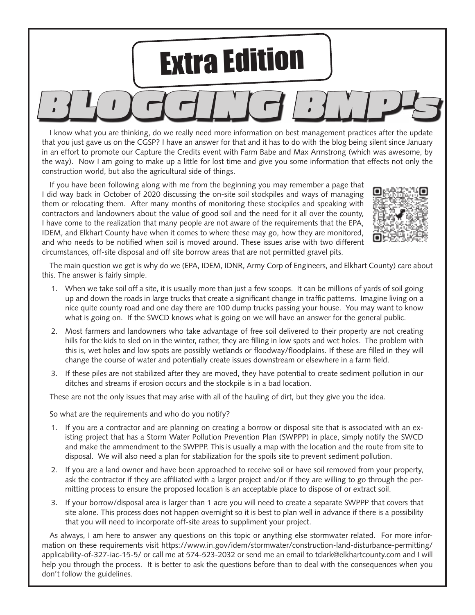

I know what you are thinking, do we really need more information on best management practices after the update that you just gave us on the CGSP? I have an answer for that and it has to do with the blog being silent since January in an effort to promote our Capture the Credits event with Farm Babe and Max Armstrong (which was awesome, by the way). Now I am going to make up a little for lost time and give you some information that effects not only the construction world, but also the agricultural side of things.

If you have been following along with me from the beginning you may remember a page that I did way back in October of 2020 discussing the on-site soil stockpiles and ways of managing them or relocating them. After many months of monitoring these stockpiles and speaking with contractors and landowners about the value of good soil and the need for it all over the county, I have come to the realization that many people are not aware of the requirements that the EPA, IDEM, and Elkhart County have when it comes to where these may go, how they are monitored, and who needs to be notified when soil is moved around. These issues arise with two different circumstances, off-site disposal and off site borrow areas that are not permitted gravel pits.



The main question we get is why do we (EPA, IDEM, IDNR, Army Corp of Engineers, and Elkhart County) care about this. The answer is fairly simple.

- 1. When we take soil off a site, it is usually more than just a few scoops. It can be millions of yards of soil going up and down the roads in large trucks that create a significant change in traffic patterns. Imagine living on a nice quite county road and one day there are 100 dump trucks passing your house. You may want to know what is going on. If the SWCD knows what is going on we will have an answer for the general public.
- 2. Most farmers and landowners who take advantage of free soil delivered to their property are not creating hills for the kids to sled on in the winter, rather, they are filling in low spots and wet holes. The problem with this is, wet holes and low spots are possibly wetlands or floodway/floodplains. If these are filled in they will change the course of water and potentially create issues downstream or elsewhere in a farm field.
- 3. If these piles are not stabilized after they are moved, they have potential to create sediment pollution in our ditches and streams if erosion occurs and the stockpile is in a bad location.

These are not the only issues that may arise with all of the hauling of dirt, but they give you the idea.

So what are the requirements and who do you notify?

- 1. If you are a contractor and are planning on creating a borrow or disposal site that is associated with an existing project that has a Storm Water Pollution Prevention Plan (SWPPP) in place, simply notify the SWCD and make the ammendment to the SWPPP. This is usually a map with the location and the route from site to disposal. We will also need a plan for stabilization for the spoils site to prevent sediment pollution.
- 2. If you are a land owner and have been approached to receive soil or have soil removed from your property, ask the contractor if they are affiliated with a larger project and/or if they are willing to go through the permitting process to ensure the proposed location is an acceptable place to dispose of or extract soil.
- 3. If your borrow/disposal area is larger than 1 acre you will need to create a separate SWPPP that covers that site alone. This process does not happen overnight so it is best to plan well in advance if there is a possibility that you will need to incorporate off-site areas to suppliment your project.

As always, I am here to answer any questions on this topic or anything else stormwater related. For more information on these requirements visit https://www.in.gov/idem/stormwater/construction-land-disturbance-permitting/ applicability-of-327-iac-15-5/ or call me at 574-523-2032 or send me an email to tclark@elkhartcounty.com and I will help you through the process. It is better to ask the questions before than to deal with the consequences when you don't follow the guidelines.